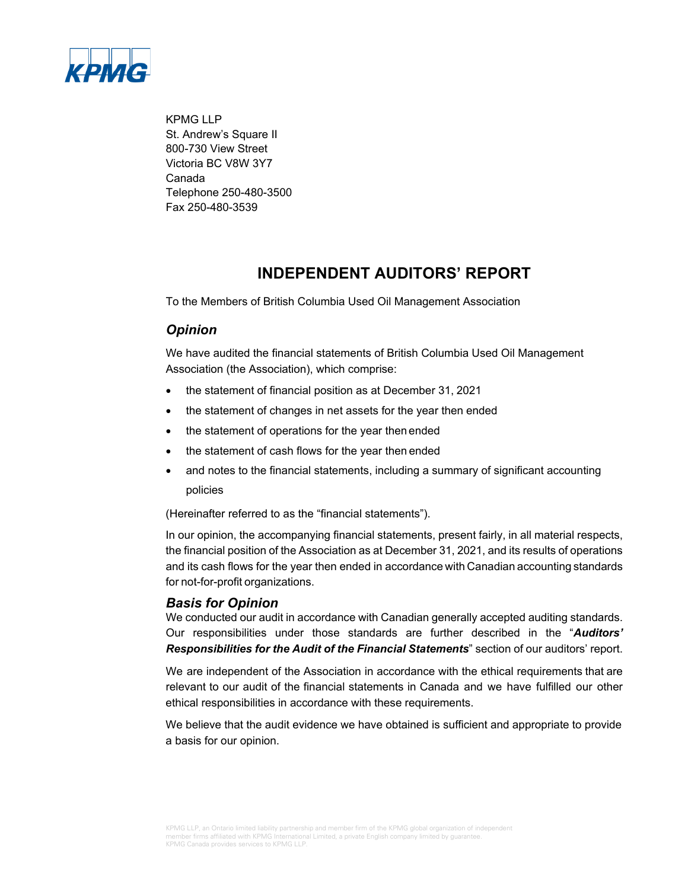

KPMG LLP St. Andrew's Square II 800-730 View Street Victoria BC V8W 3Y7 Canada Telephone 250-480-3500 Fax 250-480-3539

# **INDEPENDENT AUDITORS' REPORT**

To the Members of British Columbia Used Oil Management Association

## *Opinion*

We have audited the financial statements of British Columbia Used Oil Management Association (the Association), which comprise:

- the statement of financial position as at December 31, 2021
- the statement of changes in net assets for the year then ended
- the statement of operations for the year then ended
- the statement of cash flows for the year then ended
- and notes to the financial statements, including a summary of significant accounting policies

(Hereinafter referred to as the "financial statements").

In our opinion, the accompanying financial statements, present fairly, in all material respects, the financial position of the Association as at December 31, 2021, and its results of operations and its cash flows for the year then ended in accordance with Canadian accounting standards for not-for-profit organizations.

## *Basis for Opinion*

We conducted our audit in accordance with Canadian generally accepted auditing standards. Our responsibilities under those standards are further described in the "*Auditors' Responsibilities for the Audit of the Financial Statements*" section of our auditors' report.

We are independent of the Association in accordance with the ethical requirements that are relevant to our audit of the financial statements in Canada and we have fulfilled our other ethical responsibilities in accordance with these requirements.

We believe that the audit evidence we have obtained is sufficient and appropriate to provide a basis for our opinion.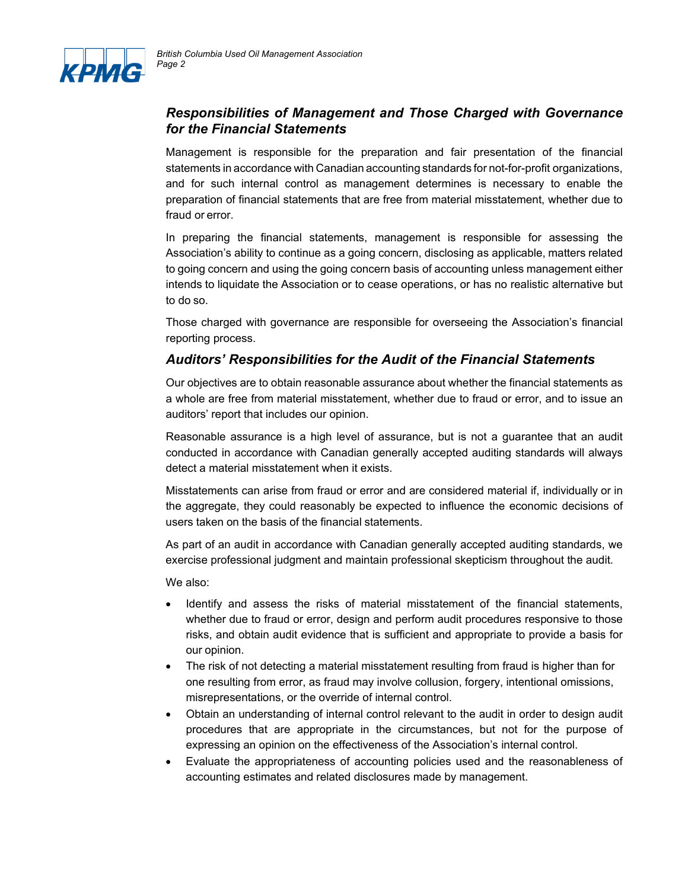

## *Responsibilities of Management and Those Charged with Governance for the Financial Statements*

Management is responsible for the preparation and fair presentation of the financial statements in accordance with Canadian accounting standards for not-for-profit organizations, and for such internal control as management determines is necessary to enable the preparation of financial statements that are free from material misstatement, whether due to fraud or error.

In preparing the financial statements, management is responsible for assessing the Association's ability to continue as a going concern, disclosing as applicable, matters related to going concern and using the going concern basis of accounting unless management either intends to liquidate the Association or to cease operations, or has no realistic alternative but to do so.

Those charged with governance are responsible for overseeing the Association's financial reporting process.

## *Auditors' Responsibilities for the Audit of the Financial Statements*

Our objectives are to obtain reasonable assurance about whether the financial statements as a whole are free from material misstatement, whether due to fraud or error, and to issue an auditors' report that includes our opinion.

Reasonable assurance is a high level of assurance, but is not a guarantee that an audit conducted in accordance with Canadian generally accepted auditing standards will always detect a material misstatement when it exists.

Misstatements can arise from fraud or error and are considered material if, individually or in the aggregate, they could reasonably be expected to influence the economic decisions of users taken on the basis of the financial statements.

As part of an audit in accordance with Canadian generally accepted auditing standards, we exercise professional judgment and maintain professional skepticism throughout the audit.

We also:

- Identify and assess the risks of material misstatement of the financial statements, whether due to fraud or error, design and perform audit procedures responsive to those risks, and obtain audit evidence that is sufficient and appropriate to provide a basis for our opinion.
- The risk of not detecting a material misstatement resulting from fraud is higher than for one resulting from error, as fraud may involve collusion, forgery, intentional omissions, misrepresentations, or the override of internal control.
- Obtain an understanding of internal control relevant to the audit in order to design audit procedures that are appropriate in the circumstances, but not for the purpose of expressing an opinion on the effectiveness of the Association's internal control.
- Evaluate the appropriateness of accounting policies used and the reasonableness of accounting estimates and related disclosures made by management.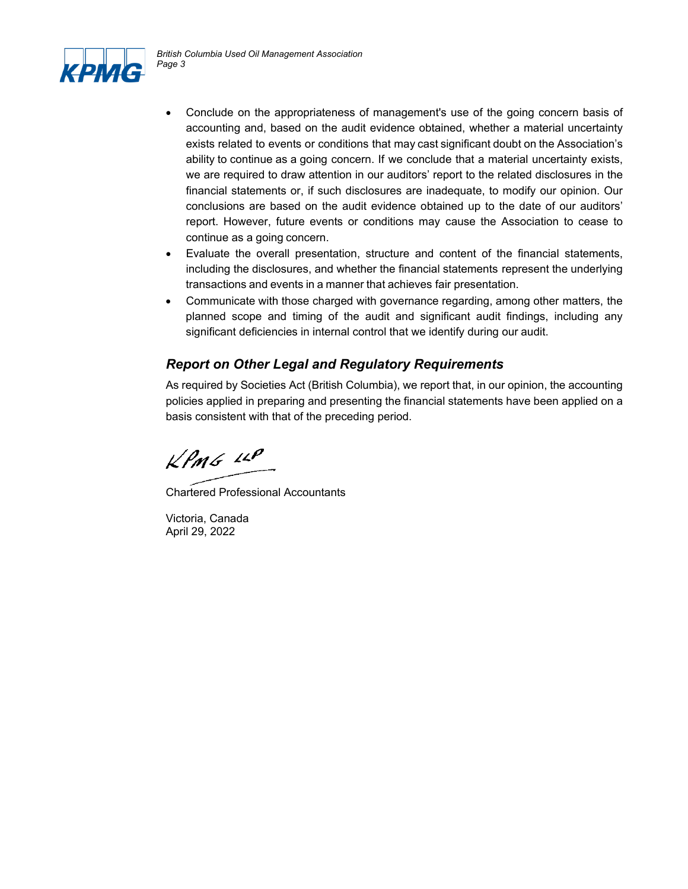

- Conclude on the appropriateness of management's use of the going concern basis of accounting and, based on the audit evidence obtained, whether a material uncertainty exists related to events or conditions that may cast significant doubt on the Association's ability to continue as a going concern. If we conclude that a material uncertainty exists, we are required to draw attention in our auditors' report to the related disclosures in the financial statements or, if such disclosures are inadequate, to modify our opinion. Our conclusions are based on the audit evidence obtained up to the date of our auditors' report. However, future events or conditions may cause the Association to cease to continue as a going concern.
- Evaluate the overall presentation, structure and content of the financial statements, including the disclosures, and whether the financial statements represent the underlying transactions and events in a manner that achieves fair presentation.
- Communicate with those charged with governance regarding, among other matters, the planned scope and timing of the audit and significant audit findings, including any significant deficiencies in internal control that we identify during our audit.

# *Report on Other Legal and Regulatory Requirements*

As required by Societies Act (British Columbia), we report that, in our opinion, the accounting policies applied in preparing and presenting the financial statements have been applied on a basis consistent with that of the preceding period.

 $k$ *PmG*  $\mu$ 

Chartered Professional Accountants

Victoria, Canada April 29, 2022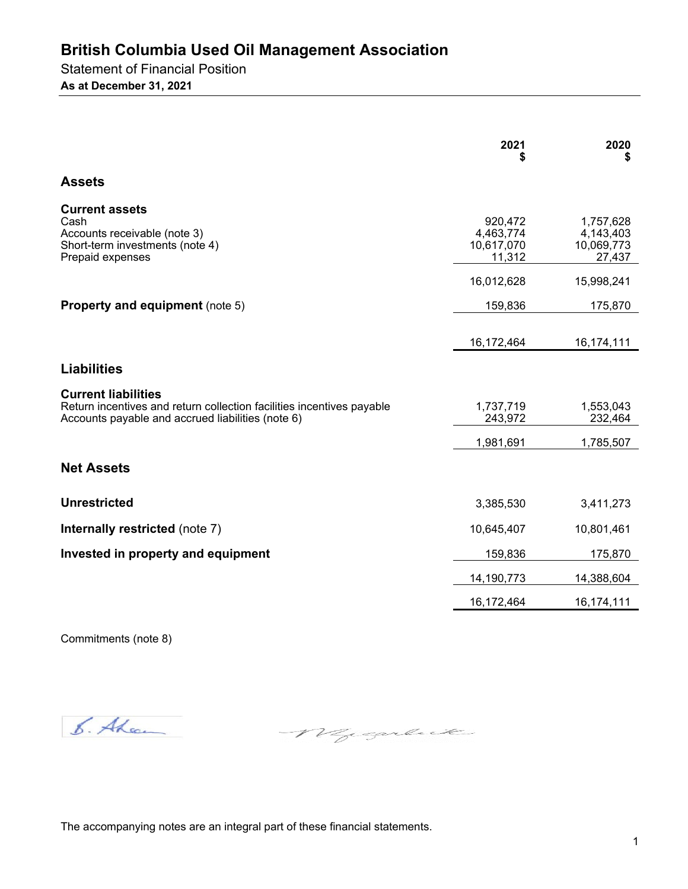Statement of Financial Position **As at December 31, 2021**

|                                                                                                                                                          | 2021                                         | 2020<br>\$                                     |
|----------------------------------------------------------------------------------------------------------------------------------------------------------|----------------------------------------------|------------------------------------------------|
| <b>Assets</b>                                                                                                                                            |                                              |                                                |
| <b>Current assets</b><br>Cash<br>Accounts receivable (note 3)<br>Short-term investments (note 4)<br>Prepaid expenses                                     | 920,472<br>4,463,774<br>10,617,070<br>11,312 | 1,757,628<br>4,143,403<br>10,069,773<br>27,437 |
|                                                                                                                                                          | 16,012,628                                   | 15,998,241                                     |
| <b>Property and equipment (note 5)</b>                                                                                                                   | 159,836                                      | 175,870                                        |
|                                                                                                                                                          | 16,172,464                                   | 16,174,111                                     |
| <b>Liabilities</b>                                                                                                                                       |                                              |                                                |
| <b>Current liabilities</b><br>Return incentives and return collection facilities incentives payable<br>Accounts payable and accrued liabilities (note 6) | 1,737,719<br>243,972                         | 1,553,043<br>232,464                           |
|                                                                                                                                                          | 1,981,691                                    | 1,785,507                                      |
| <b>Net Assets</b>                                                                                                                                        |                                              |                                                |
| <b>Unrestricted</b>                                                                                                                                      | 3,385,530                                    | 3,411,273                                      |
| Internally restricted (note 7)                                                                                                                           | 10,645,407                                   | 10,801,461                                     |
| Invested in property and equipment                                                                                                                       | 159,836                                      | 175,870                                        |
|                                                                                                                                                          | 14,190,773                                   | 14,388,604                                     |
|                                                                                                                                                          | 16,172,464                                   | 16,174,111                                     |

Commitments (note 8)



Mycquluk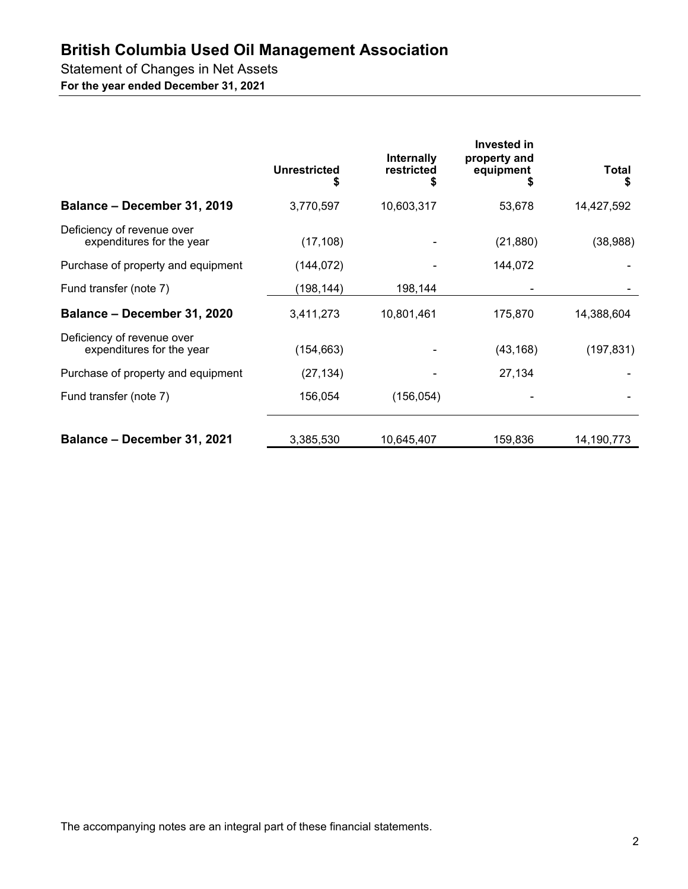# **British Columbia Used Oil Management Association**

Statement of Changes in Net Assets

**For the year ended December 31, 2021**

|                                                         | <b>Unrestricted</b> | <b>Internally</b><br>restricted<br>S | <b>Invested in</b><br>property and<br>equipment | <b>Total</b><br>S |
|---------------------------------------------------------|---------------------|--------------------------------------|-------------------------------------------------|-------------------|
| Balance - December 31, 2019                             | 3,770,597           | 10,603,317                           | 53,678                                          | 14,427,592        |
| Deficiency of revenue over<br>expenditures for the year | (17, 108)           |                                      | (21, 880)                                       | (38, 988)         |
| Purchase of property and equipment                      | (144,072)           |                                      | 144,072                                         |                   |
| Fund transfer (note 7)                                  | (198,144)           | 198,144                              |                                                 |                   |
| Balance - December 31, 2020                             | 3,411,273           | 10,801,461                           | 175,870                                         | 14,388,604        |
| Deficiency of revenue over<br>expenditures for the year | (154,663)           |                                      | (43, 168)                                       | (197, 831)        |
| Purchase of property and equipment                      | (27, 134)           |                                      | 27,134                                          |                   |
| Fund transfer (note 7)                                  | 156,054             | (156, 054)                           |                                                 |                   |
| Balance - December 31, 2021                             | 3,385,530           | 10,645,407                           | 159,836                                         | 14,190,773        |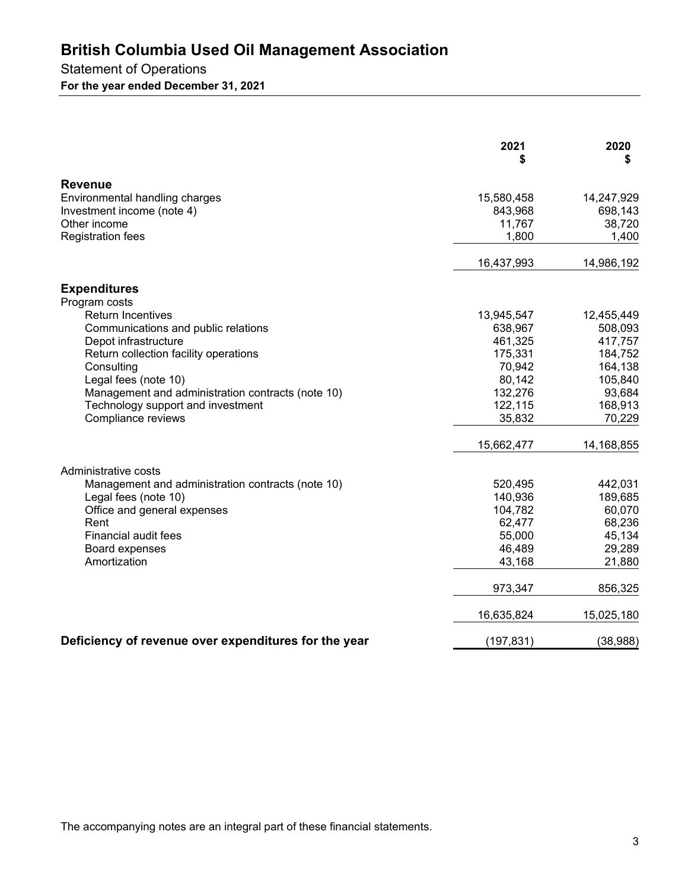# **British Columbia Used Oil Management Association**

# Statement of Operations

**For the year ended December 31, 2021**

|                                                      | 2021              | 2020<br>S          |
|------------------------------------------------------|-------------------|--------------------|
| <b>Revenue</b>                                       |                   |                    |
| Environmental handling charges                       | 15,580,458        | 14,247,929         |
| Investment income (note 4)                           | 843,968           | 698,143            |
| Other income                                         | 11,767            | 38,720             |
| <b>Registration fees</b>                             | 1,800             | 1,400              |
|                                                      | 16,437,993        | 14,986,192         |
| <b>Expenditures</b>                                  |                   |                    |
| Program costs                                        |                   |                    |
| <b>Return Incentives</b>                             | 13,945,547        | 12,455,449         |
| Communications and public relations                  | 638,967           | 508,093            |
| Depot infrastructure                                 | 461,325           | 417,757            |
| Return collection facility operations                | 175,331<br>70,942 | 184,752            |
| Consulting<br>Legal fees (note 10)                   | 80,142            | 164,138<br>105,840 |
| Management and administration contracts (note 10)    | 132,276           | 93,684             |
| Technology support and investment                    | 122,115           | 168,913            |
| Compliance reviews                                   | 35,832            | 70,229             |
|                                                      | 15,662,477        | 14,168,855         |
| Administrative costs                                 |                   |                    |
| Management and administration contracts (note 10)    | 520,495           | 442,031            |
| Legal fees (note 10)                                 | 140,936           | 189,685            |
| Office and general expenses                          | 104,782           | 60,070             |
| Rent                                                 | 62,477            | 68,236             |
| Financial audit fees                                 | 55,000            | 45,134             |
| Board expenses                                       | 46,489            | 29,289             |
| Amortization                                         | 43,168            | 21,880             |
|                                                      | 973,347           | 856,325            |
|                                                      | 16,635,824        | 15,025,180         |
| Deficiency of revenue over expenditures for the year | (197, 831)        | (38, 988)          |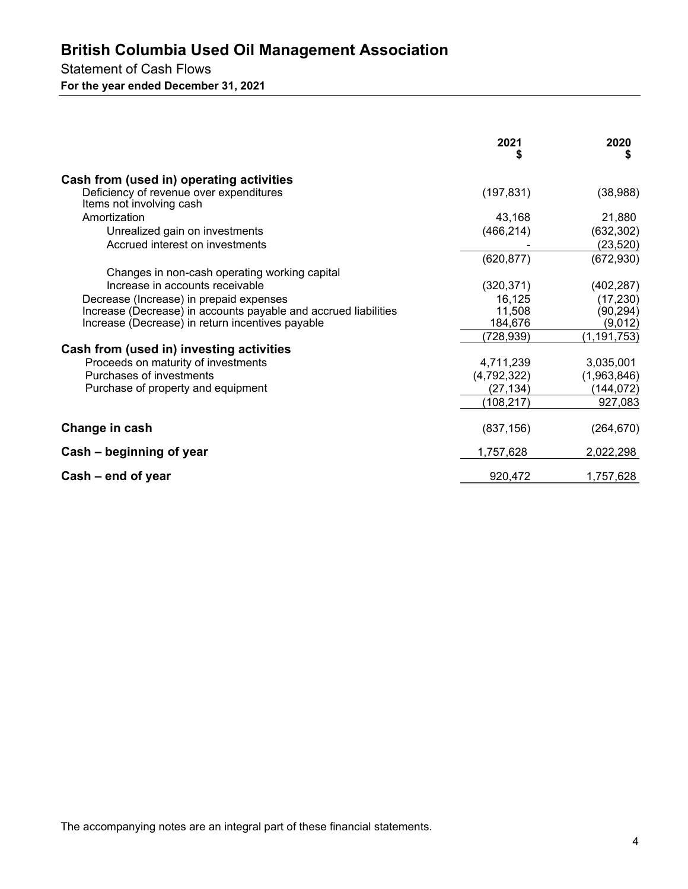# **British Columbia Used Oil Management Association**

## Statement of Cash Flows

**For the year ended December 31, 2021**

|                                                                 | 2021        | 2020<br>S     |
|-----------------------------------------------------------------|-------------|---------------|
| Cash from (used in) operating activities                        |             |               |
| Deficiency of revenue over expenditures                         | (197, 831)  | (38,988)      |
| Items not involving cash                                        |             |               |
| Amortization                                                    | 43,168      | 21,880        |
| Unrealized gain on investments                                  | (466, 214)  | (632, 302)    |
| Accrued interest on investments                                 |             | (23, 520)     |
|                                                                 | (620, 877)  | (672, 930)    |
| Changes in non-cash operating working capital                   |             |               |
| Increase in accounts receivable                                 | (320, 371)  | (402, 287)    |
| Decrease (Increase) in prepaid expenses                         | 16,125      | (17, 230)     |
| Increase (Decrease) in accounts payable and accrued liabilities | 11,508      | (90, 294)     |
| Increase (Decrease) in return incentives payable                | 184,676     | (9,012)       |
|                                                                 | (728,939)   | (1, 191, 753) |
| Cash from (used in) investing activities                        |             |               |
| Proceeds on maturity of investments                             | 4,711,239   | 3,035,001     |
| Purchases of investments                                        | (4,792,322) | (1,963,846)   |
| Purchase of property and equipment                              | (27, 134)   | (144,072)     |
|                                                                 | (108, 217)  | 927,083       |
| Change in cash                                                  | (837, 156)  | (264, 670)    |
| Cash – beginning of year                                        | 1,757,628   | 2,022,298     |
| Cash – end of year                                              | 920,472     | 1,757,628     |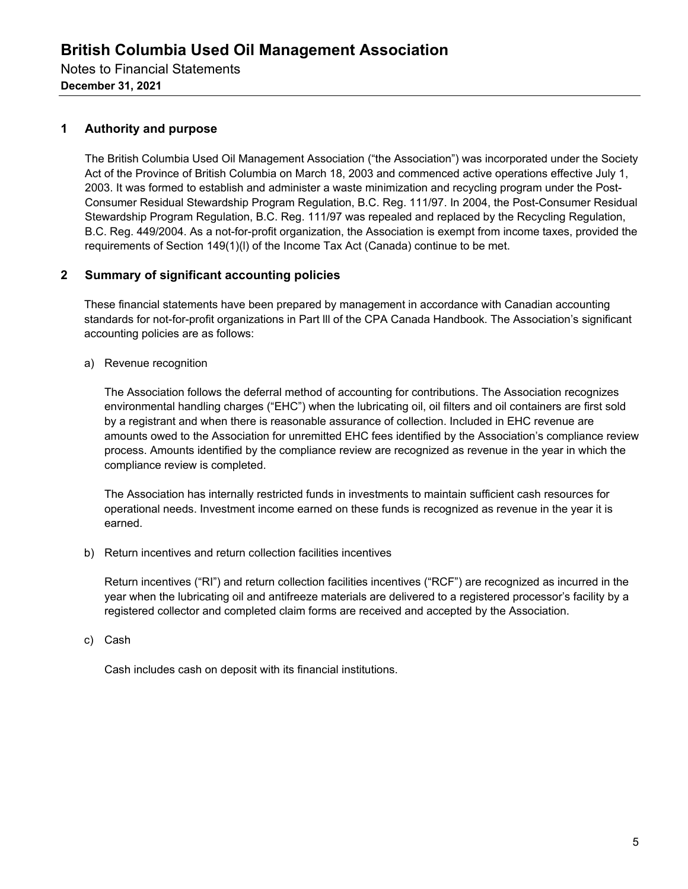Notes to Financial Statements

## **December 31, 2021**

## **1 Authority and purpose**

The British Columbia Used Oil Management Association ("the Association") was incorporated under the Society Act of the Province of British Columbia on March 18, 2003 and commenced active operations effective July 1, 2003. It was formed to establish and administer a waste minimization and recycling program under the Post-Consumer Residual Stewardship Program Regulation, B.C. Reg. 111/97. In 2004, the Post-Consumer Residual Stewardship Program Regulation, B.C. Reg. 111/97 was repealed and replaced by the Recycling Regulation, B.C. Reg. 449/2004. As a not-for-profit organization, the Association is exempt from income taxes, provided the requirements of Section 149(1)(l) of the Income Tax Act (Canada) continue to be met.

## **2 Summary of significant accounting policies**

These financial statements have been prepared by management in accordance with Canadian accounting standards for not-for-profit organizations in Part lll of the CPA Canada Handbook. The Association's significant accounting policies are as follows:

a) Revenue recognition

The Association follows the deferral method of accounting for contributions. The Association recognizes environmental handling charges ("EHC") when the lubricating oil, oil filters and oil containers are first sold by a registrant and when there is reasonable assurance of collection. Included in EHC revenue are amounts owed to the Association for unremitted EHC fees identified by the Association's compliance review process. Amounts identified by the compliance review are recognized as revenue in the year in which the compliance review is completed.

The Association has internally restricted funds in investments to maintain sufficient cash resources for operational needs. Investment income earned on these funds is recognized as revenue in the year it is earned.

b) Return incentives and return collection facilities incentives

Return incentives ("RI") and return collection facilities incentives ("RCF") are recognized as incurred in the year when the lubricating oil and antifreeze materials are delivered to a registered processor's facility by a registered collector and completed claim forms are received and accepted by the Association.

c) Cash

Cash includes cash on deposit with its financial institutions.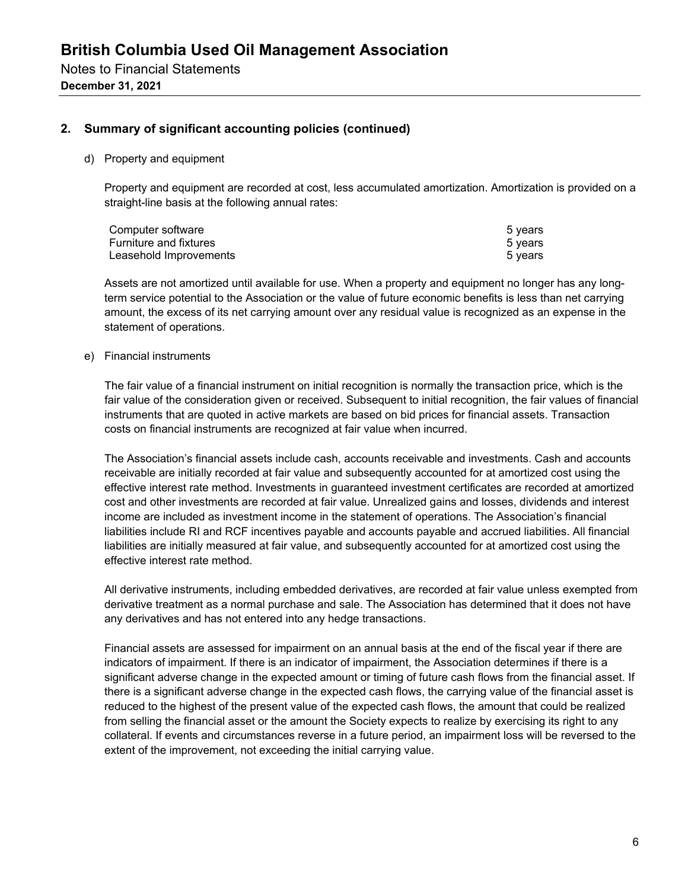## **2. Summary of significant accounting policies (continued)**

#### d) Property and equipment

Property and equipment are recorded at cost, less accumulated amortization. Amortization is provided on a straight-line basis at the following annual rates:

| Computer software      | 5 vears |
|------------------------|---------|
| Furniture and fixtures | 5 vears |
| Leasehold Improvements | 5 vears |

Assets are not amortized until available for use. When a property and equipment no longer has any longterm service potential to the Association or the value of future economic benefits is less than net carrying amount, the excess of its net carrying amount over any residual value is recognized as an expense in the statement of operations.

#### e) Financial instruments

The fair value of a financial instrument on initial recognition is normally the transaction price, which is the fair value of the consideration given or received. Subsequent to initial recognition, the fair values of financial instruments that are quoted in active markets are based on bid prices for financial assets. Transaction costs on financial instruments are recognized at fair value when incurred.

The Association's financial assets include cash, accounts receivable and investments. Cash and accounts receivable are initially recorded at fair value and subsequently accounted for at amortized cost using the effective interest rate method. Investments in guaranteed investment certificates are recorded at amortized cost and other investments are recorded at fair value. Unrealized gains and losses, dividends and interest income are included as investment income in the statement of operations. The Association's financial liabilities include RI and RCF incentives payable and accounts payable and accrued liabilities. All financial liabilities are initially measured at fair value, and subsequently accounted for at amortized cost using the effective interest rate method.

All derivative instruments, including embedded derivatives, are recorded at fair value unless exempted from derivative treatment as a normal purchase and sale. The Association has determined that it does not have any derivatives and has not entered into any hedge transactions.

Financial assets are assessed for impairment on an annual basis at the end of the fiscal year if there are indicators of impairment. If there is an indicator of impairment, the Association determines if there is a significant adverse change in the expected amount or timing of future cash flows from the financial asset. If there is a significant adverse change in the expected cash flows, the carrying value of the financial asset is reduced to the highest of the present value of the expected cash flows, the amount that could be realized from selling the financial asset or the amount the Society expects to realize by exercising its right to any collateral. If events and circumstances reverse in a future period, an impairment loss will be reversed to the extent of the improvement, not exceeding the initial carrying value.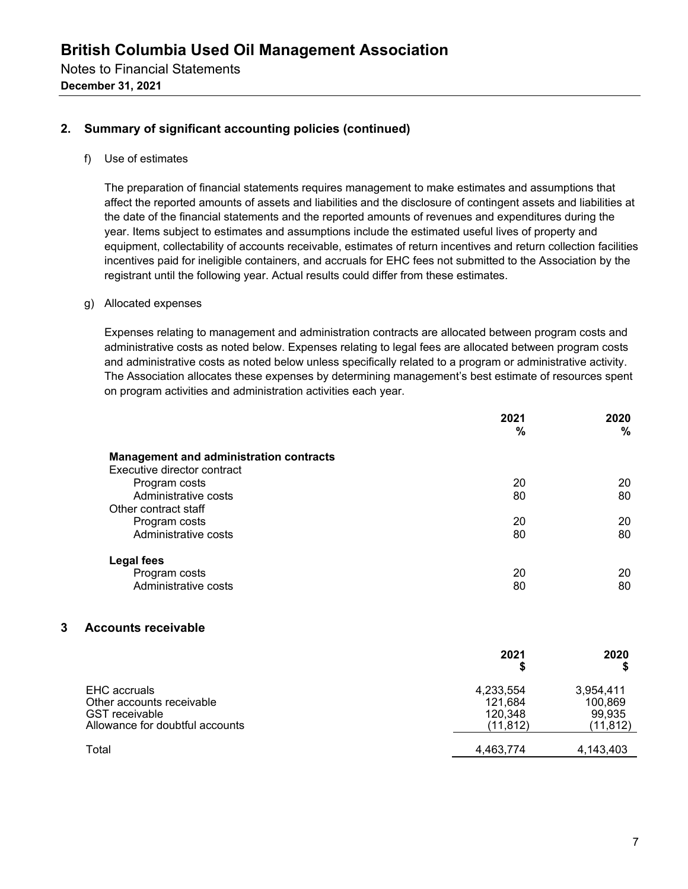## **2. Summary of significant accounting policies (continued)**

#### f) Use of estimates

The preparation of financial statements requires management to make estimates and assumptions that affect the reported amounts of assets and liabilities and the disclosure of contingent assets and liabilities at the date of the financial statements and the reported amounts of revenues and expenditures during the year. Items subject to estimates and assumptions include the estimated useful lives of property and equipment, collectability of accounts receivable, estimates of return incentives and return collection facilities incentives paid for ineligible containers, and accruals for EHC fees not submitted to the Association by the registrant until the following year. Actual results could differ from these estimates.

#### g) Allocated expenses

Expenses relating to management and administration contracts are allocated between program costs and administrative costs as noted below. Expenses relating to legal fees are allocated between program costs and administrative costs as noted below unless specifically related to a program or administrative activity. The Association allocates these expenses by determining management's best estimate of resources spent on program activities and administration activities each year.

|   |                                                | 2021<br>%  | 2020<br>%  |
|---|------------------------------------------------|------------|------------|
|   | <b>Management and administration contracts</b> |            |            |
|   | Executive director contract                    |            |            |
|   | Program costs                                  | 20         | 20         |
|   | Administrative costs                           | 80         | 80         |
|   | Other contract staff                           |            |            |
|   | Program costs                                  | 20         | 20         |
|   | Administrative costs                           | 80         | 80         |
|   | <b>Legal fees</b>                              |            |            |
|   | Program costs                                  | 20         | 20         |
|   | Administrative costs                           | 80         | 80         |
| 3 | <b>Accounts receivable</b>                     |            |            |
|   |                                                | 2021<br>\$ | 2020<br>\$ |
|   | <b>EHC</b> accruals                            | 4,233,554  | 3,954,411  |
|   | Other accounts receivable                      | 121,684    | 100,869    |
|   | <b>GST</b> receivable                          | 120,348    | 99,935     |
|   | Allowance for doubtful accounts                | (11, 812)  | (11, 812)  |
|   | Total                                          | 4,463,774  | 4,143,403  |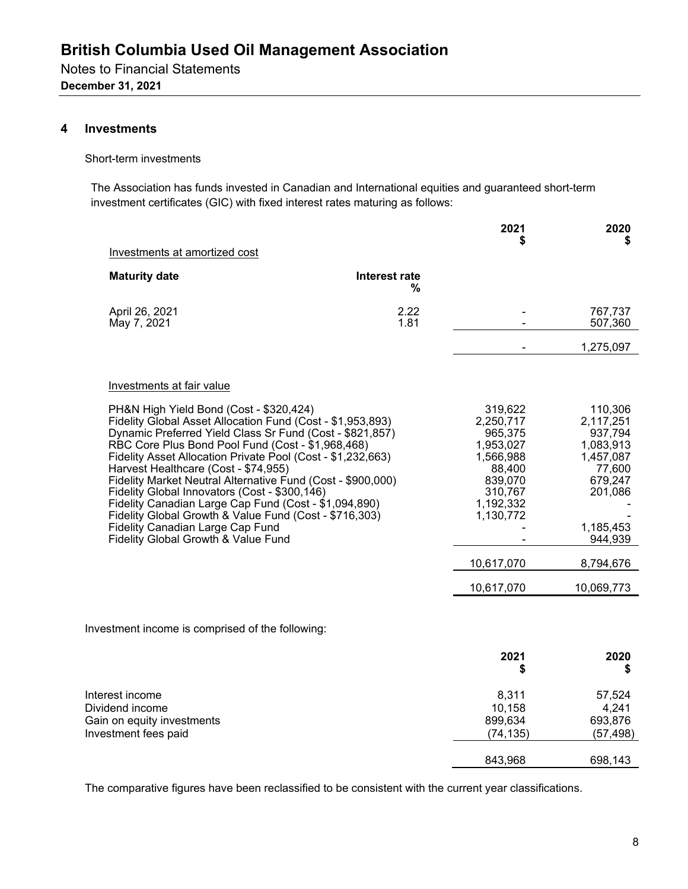#### **4 Investments**

Short-term investments

The Association has funds invested in Canadian and International equities and guaranteed short-term investment certificates (GIC) with fixed interest rates maturing as follows:

| Investments at amortized cost                                                                                                                                                                                                                                                                                                                                                                                                                                                                                                                                                                                                                      |               | 2021<br>S                                                                                                           | 2020<br>\$                                                                                                        |
|----------------------------------------------------------------------------------------------------------------------------------------------------------------------------------------------------------------------------------------------------------------------------------------------------------------------------------------------------------------------------------------------------------------------------------------------------------------------------------------------------------------------------------------------------------------------------------------------------------------------------------------------------|---------------|---------------------------------------------------------------------------------------------------------------------|-------------------------------------------------------------------------------------------------------------------|
| <b>Maturity date</b>                                                                                                                                                                                                                                                                                                                                                                                                                                                                                                                                                                                                                               | Interest rate |                                                                                                                     |                                                                                                                   |
|                                                                                                                                                                                                                                                                                                                                                                                                                                                                                                                                                                                                                                                    | %             |                                                                                                                     |                                                                                                                   |
| April 26, 2021<br>May 7, 2021                                                                                                                                                                                                                                                                                                                                                                                                                                                                                                                                                                                                                      | 2.22<br>1.81  |                                                                                                                     | 767,737<br>507,360                                                                                                |
|                                                                                                                                                                                                                                                                                                                                                                                                                                                                                                                                                                                                                                                    |               |                                                                                                                     | 1,275,097                                                                                                         |
| Investments at fair value                                                                                                                                                                                                                                                                                                                                                                                                                                                                                                                                                                                                                          |               |                                                                                                                     |                                                                                                                   |
| PH&N High Yield Bond (Cost - \$320,424)<br>Fidelity Global Asset Allocation Fund (Cost - \$1,953,893)<br>Dynamic Preferred Yield Class Sr Fund (Cost - \$821,857)<br>RBC Core Plus Bond Pool Fund (Cost - \$1,968,468)<br>Fidelity Asset Allocation Private Pool (Cost - \$1,232,663)<br>Harvest Healthcare (Cost - \$74,955)<br>Fidelity Market Neutral Alternative Fund (Cost - \$900,000)<br>Fidelity Global Innovators (Cost - \$300,146)<br>Fidelity Canadian Large Cap Fund (Cost - \$1,094,890)<br>Fidelity Global Growth & Value Fund (Cost - \$716,303)<br><b>Fidelity Canadian Large Cap Fund</b><br>Fidelity Global Growth & Value Fund |               | 319,622<br>2,250,717<br>965,375<br>1,953,027<br>1,566,988<br>88,400<br>839,070<br>310,767<br>1,192,332<br>1,130,772 | 110,306<br>2,117,251<br>937,794<br>1,083,913<br>1,457,087<br>77,600<br>679,247<br>201,086<br>1,185,453<br>944,939 |
|                                                                                                                                                                                                                                                                                                                                                                                                                                                                                                                                                                                                                                                    |               | 10,617,070                                                                                                          | 8,794,676                                                                                                         |
|                                                                                                                                                                                                                                                                                                                                                                                                                                                                                                                                                                                                                                                    |               | 10,617,070                                                                                                          | 10,069,773                                                                                                        |
| Investment income is comprised of the following:                                                                                                                                                                                                                                                                                                                                                                                                                                                                                                                                                                                                   |               |                                                                                                                     |                                                                                                                   |
|                                                                                                                                                                                                                                                                                                                                                                                                                                                                                                                                                                                                                                                    |               | 2021<br>\$                                                                                                          | 2020<br>\$                                                                                                        |
| Interest income<br>Dividend income<br>Gain on equity investments<br>Investment fees paid                                                                                                                                                                                                                                                                                                                                                                                                                                                                                                                                                           |               | 8,311<br>10,158<br>899,634<br>(74, 135)                                                                             | 57,524<br>4,241<br>693,876<br>(57, 498)                                                                           |
|                                                                                                                                                                                                                                                                                                                                                                                                                                                                                                                                                                                                                                                    |               | 843,968                                                                                                             | 698,143                                                                                                           |

The comparative figures have been reclassified to be consistent with the current year classifications.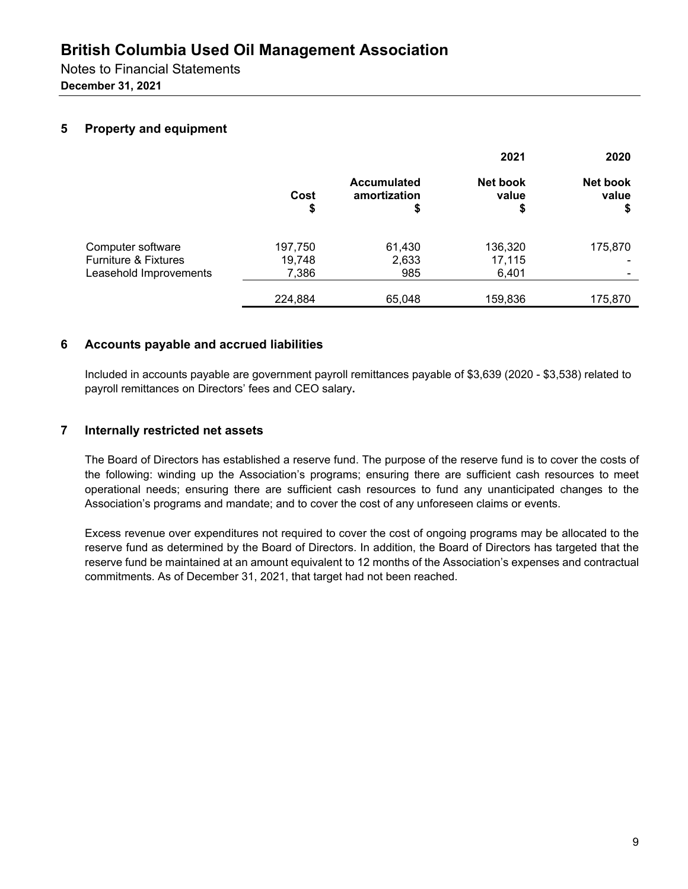## **5 Property and equipment**

|                                                                                |                            |                                          | 2021                       | 2020                    |
|--------------------------------------------------------------------------------|----------------------------|------------------------------------------|----------------------------|-------------------------|
|                                                                                | Cost<br>\$                 | <b>Accumulated</b><br>amortization<br>\$ | Net book<br>value<br>\$    | Net book<br>value<br>\$ |
| Computer software<br><b>Furniture &amp; Fixtures</b><br>Leasehold Improvements | 197,750<br>19,748<br>7,386 | 61,430<br>2,633<br>985                   | 136,320<br>17,115<br>6,401 | 175,870                 |
|                                                                                | 224,884                    | 65,048                                   | 159,836                    | 175,870                 |

## **6 Accounts payable and accrued liabilities**

Included in accounts payable are government payroll remittances payable of \$3,639 (2020 - \$3,538) related to payroll remittances on Directors' fees and CEO salary**.** 

## **7 Internally restricted net assets**

The Board of Directors has established a reserve fund. The purpose of the reserve fund is to cover the costs of the following: winding up the Association's programs; ensuring there are sufficient cash resources to meet operational needs; ensuring there are sufficient cash resources to fund any unanticipated changes to the Association's programs and mandate; and to cover the cost of any unforeseen claims or events.

Excess revenue over expenditures not required to cover the cost of ongoing programs may be allocated to the reserve fund as determined by the Board of Directors. In addition, the Board of Directors has targeted that the reserve fund be maintained at an amount equivalent to 12 months of the Association's expenses and contractual commitments. As of December 31, 2021, that target had not been reached.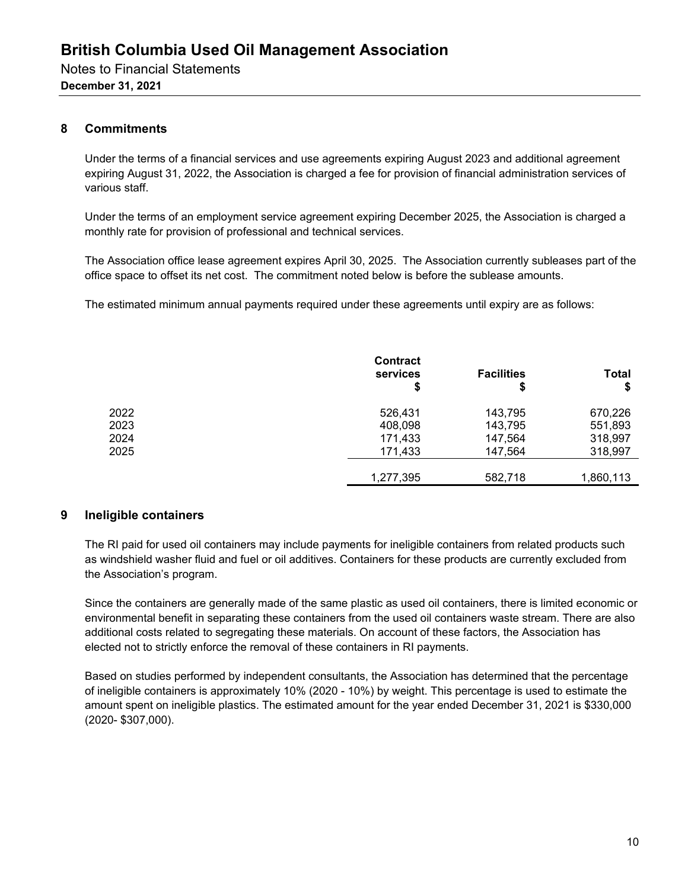## **8 Commitments**

Under the terms of a financial services and use agreements expiring August 2023 and additional agreement expiring August 31, 2022, the Association is charged a fee for provision of financial administration services of various staff.

Under the terms of an employment service agreement expiring December 2025, the Association is charged a monthly rate for provision of professional and technical services.

The Association office lease agreement expires April 30, 2025. The Association currently subleases part of the office space to offset its net cost. The commitment noted below is before the sublease amounts.

The estimated minimum annual payments required under these agreements until expiry are as follows:

|      | <b>Contract</b><br>services<br>\$ | <b>Facilities</b><br>\$ | Total<br>\$ |
|------|-----------------------------------|-------------------------|-------------|
| 2022 | 526,431                           | 143,795                 | 670,226     |
| 2023 | 408,098                           | 143,795                 | 551,893     |
| 2024 | 171,433                           | 147,564                 | 318,997     |
| 2025 | 171,433                           | 147,564                 | 318,997     |
|      | 1,277,395                         | 582,718                 | 1,860,113   |

## **9 Ineligible containers**

The RI paid for used oil containers may include payments for ineligible containers from related products such as windshield washer fluid and fuel or oil additives. Containers for these products are currently excluded from the Association's program.

Since the containers are generally made of the same plastic as used oil containers, there is limited economic or environmental benefit in separating these containers from the used oil containers waste stream. There are also additional costs related to segregating these materials. On account of these factors, the Association has elected not to strictly enforce the removal of these containers in RI payments.

Based on studies performed by independent consultants, the Association has determined that the percentage of ineligible containers is approximately 10% (2020 - 10%) by weight. This percentage is used to estimate the amount spent on ineligible plastics. The estimated amount for the year ended December 31, 2021 is \$330,000 (2020- \$307,000).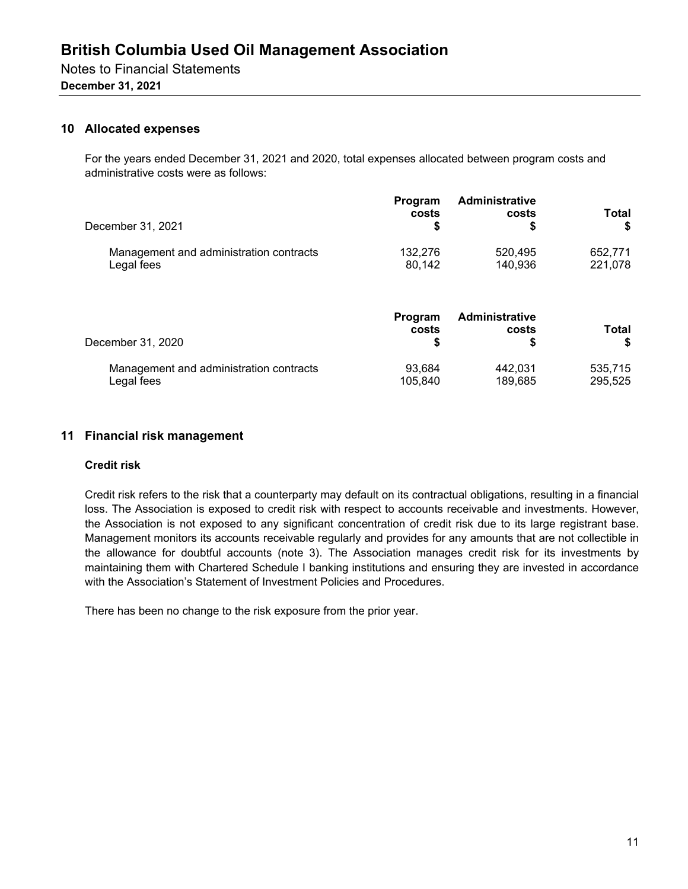## **10 Allocated expenses**

For the years ended December 31, 2021 and 2020, total expenses allocated between program costs and administrative costs were as follows:

| December 31, 2021                       | Program | Administrative | Total   |
|-----------------------------------------|---------|----------------|---------|
|                                         | costs   | costs          | S       |
| Management and administration contracts | 132.276 | 520.495        | 652.771 |
| Legal fees                              | 80.142  | 140,936        | 221.078 |

| December 31, 2020                       | Program | Administrative | Total   |
|-----------------------------------------|---------|----------------|---------|
|                                         | costs   | costs          | S.      |
| Management and administration contracts | 93.684  | 442.031        | 535.715 |
| Legal fees                              | 105.840 | 189.685        | 295.525 |

## **11 Financial risk management**

#### **Credit risk**

Credit risk refers to the risk that a counterparty may default on its contractual obligations, resulting in a financial loss. The Association is exposed to credit risk with respect to accounts receivable and investments. However, the Association is not exposed to any significant concentration of credit risk due to its large registrant base. Management monitors its accounts receivable regularly and provides for any amounts that are not collectible in the allowance for doubtful accounts (note 3). The Association manages credit risk for its investments by maintaining them with Chartered Schedule I banking institutions and ensuring they are invested in accordance with the Association's Statement of Investment Policies and Procedures.

There has been no change to the risk exposure from the prior year.